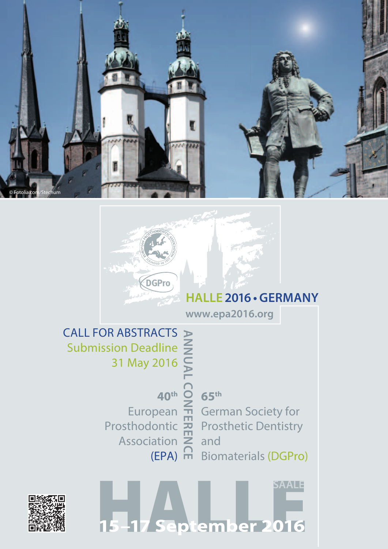



## **HALLE 2016 • GERMANY**

CALL FOR ABSTRACTS  $\blacktriangleright$ **ANNUAL CONFERENCE** Submission Deadline 31 May 2016

European

Association  $\overline{z}$ 

Prosthodontic

**65th 40th** German Society for Prosthetic Dentistry and (EPA) m Biomaterials (DGPro)

ptember 2016

**SAALE** 



r